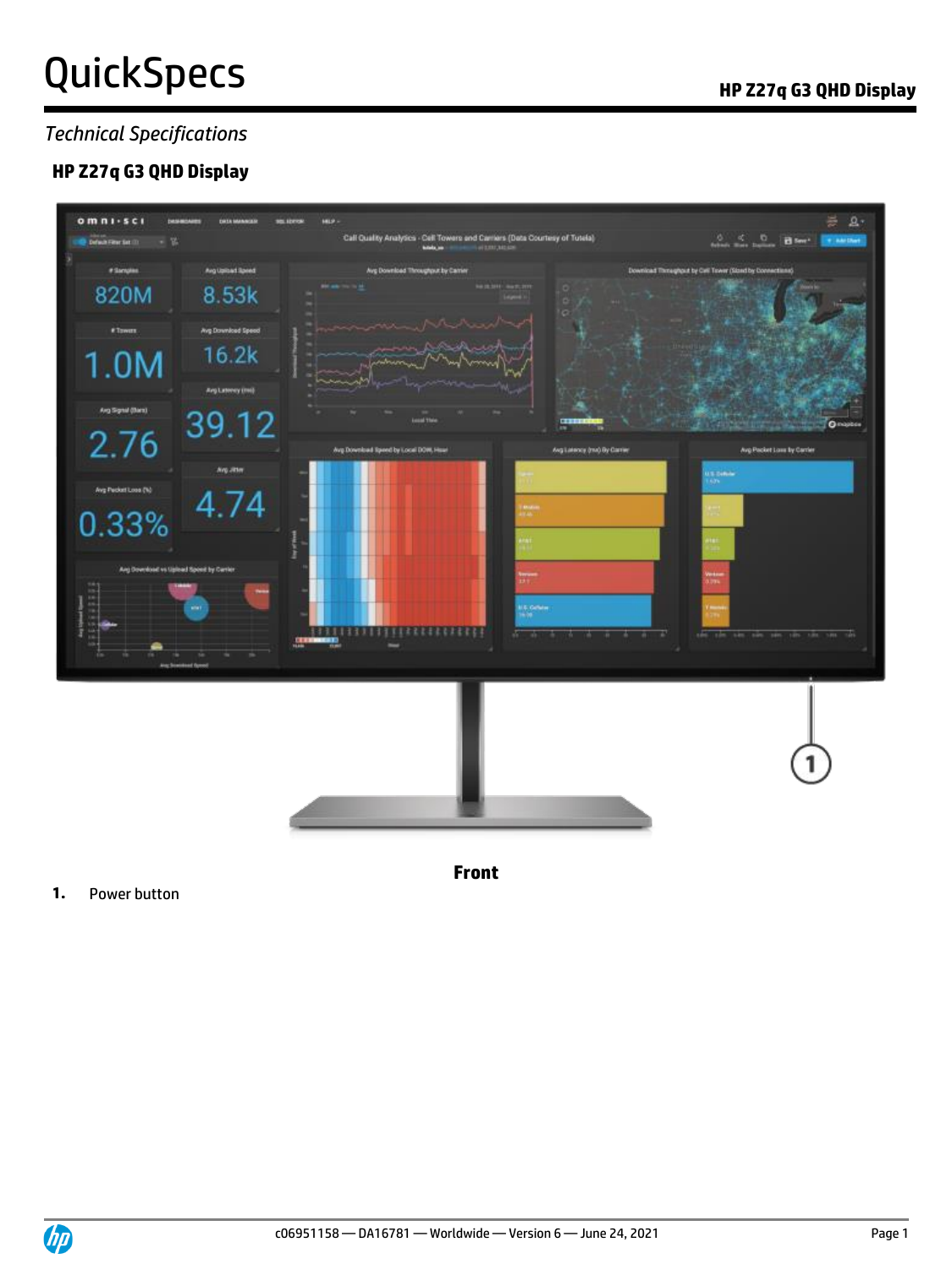## *Technical Specifications*

## **HP Z27q G3 QHD Display**



**Front**

### **1.** Power button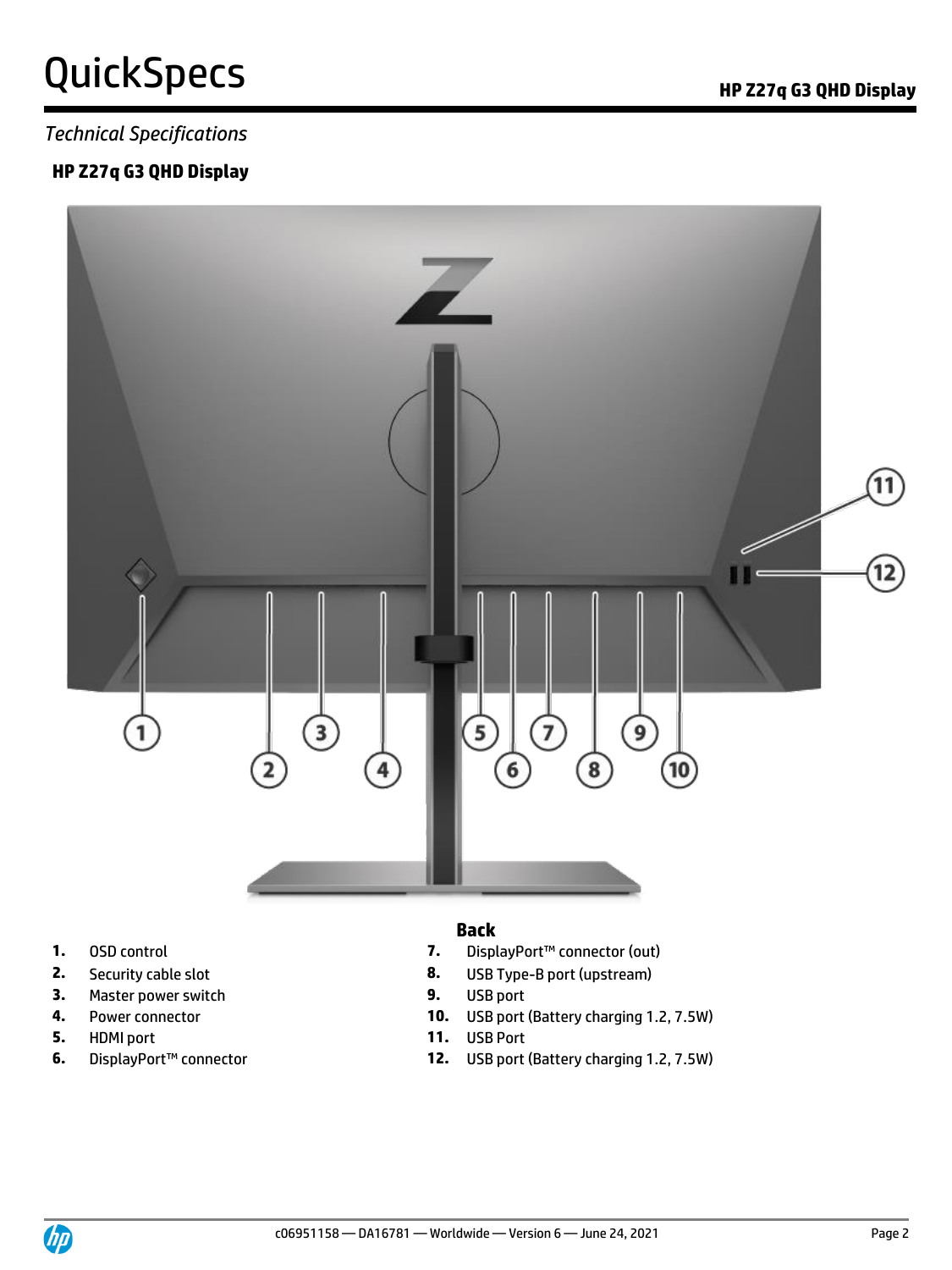### *Technical Specifications*

### **HP Z27q G3 QHD Display**



- 
- 
- **3.** Master power switch **9.** USB port
- 
- **5.** HDMI port **11.** USB Port
- 

### **Back**

- **1.** OSD control **7.** DisplayPort™ connector (out)
- **2.** Security cable slot **8.** USB Type-B port (upstream)
	-
- **4.** Power connector **10.** USB port (Battery charging 1.2, 7.5W)
	-
- **6.** DisplayPort™ connector **12.** USB port (Battery charging 1.2, 7.5W)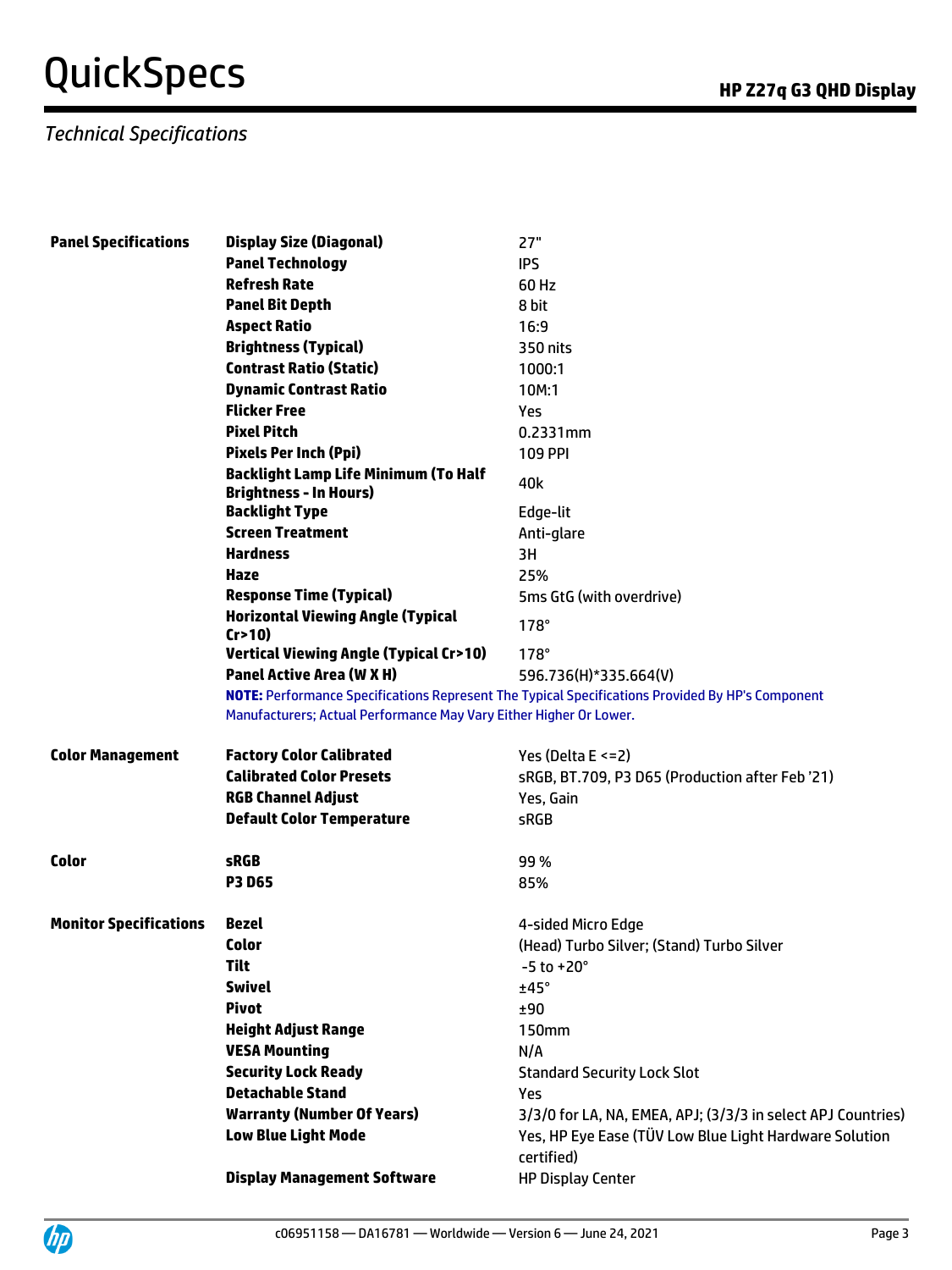## *Technical Specifications*

| <b>Panel Specifications</b>   | <b>Display Size (Diagonal)</b>                                               | 27"                                                                                              |  |
|-------------------------------|------------------------------------------------------------------------------|--------------------------------------------------------------------------------------------------|--|
|                               | <b>Panel Technology</b>                                                      | <b>IPS</b>                                                                                       |  |
|                               | <b>Refresh Rate</b>                                                          | 60 Hz                                                                                            |  |
|                               | <b>Panel Bit Depth</b>                                                       | 8 bit                                                                                            |  |
|                               | <b>Aspect Ratio</b>                                                          | 16:9                                                                                             |  |
|                               | <b>Brightness (Typical)</b>                                                  | 350 nits                                                                                         |  |
|                               | <b>Contrast Ratio (Static)</b>                                               | 1000:1                                                                                           |  |
|                               | <b>Dynamic Contrast Ratio</b>                                                | 10M:1                                                                                            |  |
|                               | <b>Flicker Free</b>                                                          | Yes                                                                                              |  |
|                               | <b>Pixel Pitch</b>                                                           | 0.2331mm                                                                                         |  |
|                               | <b>Pixels Per Inch (Ppi)</b>                                                 | <b>109 PPI</b>                                                                                   |  |
|                               | <b>Backlight Lamp Life Minimum (To Half</b><br><b>Brightness - In Hours)</b> | 40k                                                                                              |  |
|                               | <b>Backlight Type</b>                                                        | Edge-lit                                                                                         |  |
|                               | <b>Screen Treatment</b>                                                      | Anti-glare                                                                                       |  |
|                               | <b>Hardness</b>                                                              | 3H                                                                                               |  |
|                               | Haze                                                                         | 25%                                                                                              |  |
|                               | <b>Response Time (Typical)</b>                                               | 5ms GtG (with overdrive)                                                                         |  |
|                               | <b>Horizontal Viewing Angle (Typical</b><br>Cr > 10                          | $178^\circ$                                                                                      |  |
|                               | <b>Vertical Viewing Angle (Typical Cr&gt;10)</b>                             | $178^\circ$                                                                                      |  |
|                               | <b>Panel Active Area (W X H)</b>                                             | 596.736(H)*335.664(V)                                                                            |  |
|                               | Manufacturers; Actual Performance May Vary Either Higher Or Lower.           | NOTE: Performance Specifications Represent The Typical Specifications Provided By HP's Component |  |
| <b>Color Management</b>       | <b>Factory Color Calibrated</b>                                              | Yes (Delta $E \le 2$ )                                                                           |  |
|                               | <b>Calibrated Color Presets</b>                                              | sRGB, BT.709, P3 D65 (Production after Feb '21)                                                  |  |
|                               | <b>RGB Channel Adjust</b>                                                    | Yes, Gain                                                                                        |  |
|                               | <b>Default Color Temperature</b>                                             | sRGB                                                                                             |  |
| <b>Color</b>                  | <b>sRGB</b>                                                                  | 99%                                                                                              |  |
|                               | <b>P3 D65</b>                                                                | 85%                                                                                              |  |
|                               |                                                                              |                                                                                                  |  |
| <b>Monitor Specifications</b> | <b>Bezel</b>                                                                 | 4-sided Micro Edge                                                                               |  |
|                               | Color                                                                        | (Head) Turbo Silver; (Stand) Turbo Silver                                                        |  |
|                               | <b>Tilt</b>                                                                  | $-5$ to $+20^{\circ}$                                                                            |  |
|                               | <b>Swivel</b>                                                                | ±45°                                                                                             |  |
|                               | <b>Pivot</b>                                                                 | ±90                                                                                              |  |
|                               | <b>Height Adjust Range</b>                                                   | <b>150mm</b>                                                                                     |  |
|                               | <b>VESA Mounting</b>                                                         | N/A                                                                                              |  |
|                               | <b>Security Lock Ready</b>                                                   | <b>Standard Security Lock Slot</b>                                                               |  |
|                               | <b>Detachable Stand</b>                                                      | Yes                                                                                              |  |
|                               | <b>Warranty (Number Of Years)</b>                                            | 3/3/0 for LA, NA, EMEA, APJ; (3/3/3 in select APJ Countries)                                     |  |
|                               | <b>Low Blue Light Mode</b>                                                   | Yes, HP Eye Ease (TÜV Low Blue Light Hardware Solution<br>certified)                             |  |
|                               | <b>Display Management Software</b>                                           | <b>HP Display Center</b>                                                                         |  |

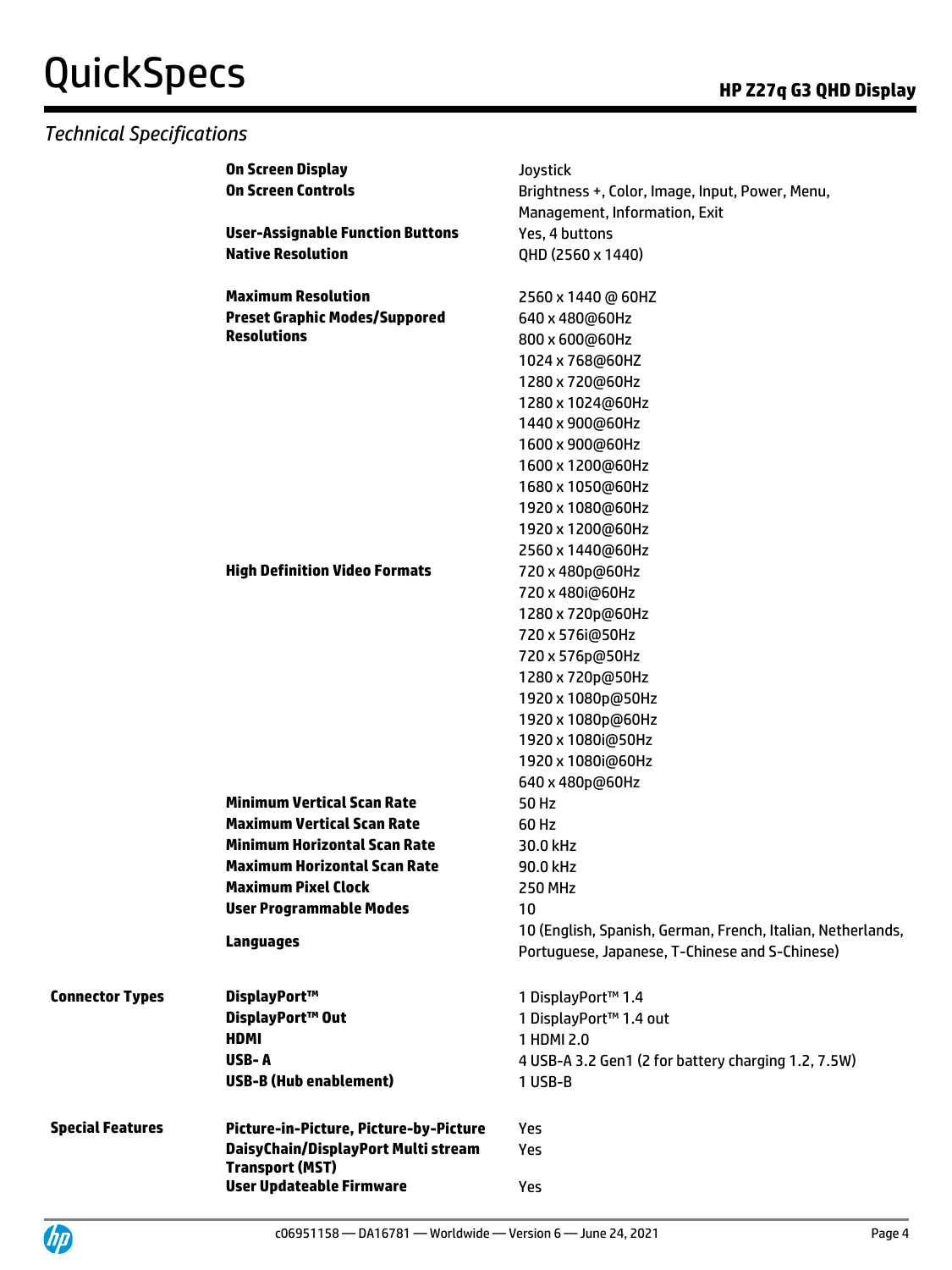## *Technical Specifications*

|                         | On Screen Display                                             | Joystick                                                    |
|-------------------------|---------------------------------------------------------------|-------------------------------------------------------------|
|                         | <b>On Screen Controls</b>                                     | Brightness +, Color, Image, Input, Power, Menu,             |
|                         |                                                               | Management, Information, Exit                               |
|                         | <b>User-Assignable Function Buttons</b>                       | Yes, 4 buttons                                              |
|                         | <b>Native Resolution</b>                                      | QHD (2560 x 1440)                                           |
|                         |                                                               |                                                             |
|                         | <b>Maximum Resolution</b>                                     | 2560 x 1440 @ 60HZ                                          |
|                         | <b>Preset Graphic Modes/Suppored</b>                          | 640 x 480@60Hz                                              |
|                         | <b>Resolutions</b>                                            | 800 x 600@60Hz                                              |
|                         |                                                               | 1024 x 768@60HZ                                             |
|                         |                                                               | 1280 x 720@60Hz                                             |
|                         |                                                               | 1280 x 1024@60Hz                                            |
|                         |                                                               | 1440 x 900@60Hz                                             |
|                         |                                                               | 1600 x 900@60Hz                                             |
|                         |                                                               | 1600 x 1200@60Hz                                            |
|                         |                                                               | 1680 x 1050@60Hz                                            |
|                         |                                                               | 1920 x 1080@60Hz                                            |
|                         |                                                               | 1920 x 1200@60Hz                                            |
|                         |                                                               | 2560 x 1440@60Hz                                            |
|                         | <b>High Definition Video Formats</b>                          | 720 x 480p@60Hz                                             |
|                         |                                                               |                                                             |
|                         |                                                               | 720 x 480i@60Hz                                             |
|                         |                                                               | 1280 x 720p@60Hz                                            |
|                         |                                                               | 720 x 576i@50Hz                                             |
|                         |                                                               | 720 x 576p@50Hz                                             |
|                         |                                                               | 1280 x 720p@50Hz                                            |
|                         |                                                               | 1920 x 1080p@50Hz                                           |
|                         |                                                               | 1920 x 1080p@60Hz                                           |
|                         |                                                               | 1920 x 1080i@50Hz                                           |
|                         |                                                               | 1920 x 1080i@60Hz                                           |
|                         |                                                               | 640 x 480p@60Hz                                             |
|                         | <b>Minimum Vertical Scan Rate</b>                             | 50 Hz                                                       |
|                         | <b>Maximum Vertical Scan Rate</b>                             | 60 Hz                                                       |
|                         | <b>Minimum Horizontal Scan Rate</b>                           | 30.0 kHz                                                    |
|                         | <b>Maximum Horizontal Scan Rate</b>                           | 90.0 kHz                                                    |
|                         | <b>Maximum Pixel Clock</b>                                    | <b>250 MHz</b>                                              |
|                         | <b>User Programmable Modes</b>                                | 10                                                          |
|                         | <b>Languages</b>                                              | 10 (English, Spanish, German, French, Italian, Netherlands, |
|                         |                                                               | Portuguese, Japanese, T-Chinese and S-Chinese)              |
| <b>Connector Types</b>  | DisplayPort™                                                  | 1 DisplayPort™ 1.4                                          |
|                         | DisplayPort™ Out                                              |                                                             |
|                         |                                                               | 1 DisplayPort™ 1.4 out                                      |
|                         | <b>HDMI</b>                                                   | 1 HDMI 2.0                                                  |
|                         | USB-A                                                         | 4 USB-A 3.2 Gen1 (2 for battery charging 1.2, 7.5W)         |
|                         | <b>USB-B (Hub enablement)</b>                                 | 1 USB-B                                                     |
| <b>Special Features</b> | Picture-in-Picture, Picture-by-Picture                        | <b>Yes</b>                                                  |
|                         | DaisyChain/DisplayPort Multi stream<br><b>Transport (MST)</b> | Yes                                                         |
|                         | <b>User Updateable Firmware</b>                               | Yes                                                         |

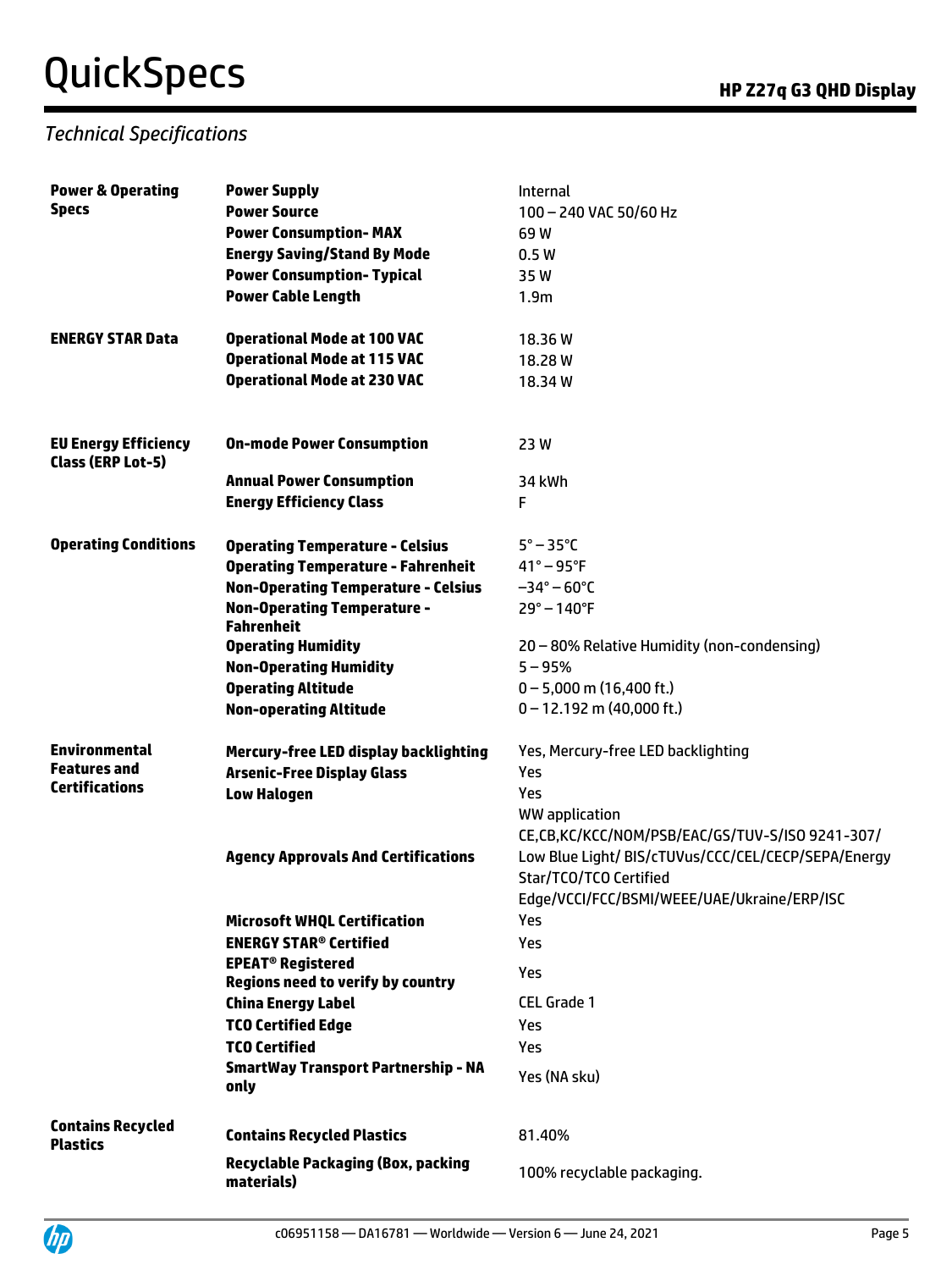## *Technical Specifications*

| <b>Power &amp; Operating</b>                            | <b>Power Supply</b>                                     | Internal                                            |
|---------------------------------------------------------|---------------------------------------------------------|-----------------------------------------------------|
| <b>Specs</b>                                            | <b>Power Source</b>                                     | 100 - 240 VAC 50/60 Hz                              |
|                                                         | <b>Power Consumption-MAX</b>                            | 69W                                                 |
|                                                         | <b>Energy Saving/Stand By Mode</b>                      | 0.5W                                                |
|                                                         | <b>Power Consumption- Typical</b>                       | 35W                                                 |
|                                                         | <b>Power Cable Length</b>                               | 1.9 <sub>m</sub>                                    |
|                                                         |                                                         |                                                     |
| <b>ENERGY STAR Data</b>                                 | <b>Operational Mode at 100 VAC</b>                      | 18.36W                                              |
|                                                         | <b>Operational Mode at 115 VAC</b>                      | 18.28W                                              |
|                                                         | <b>Operational Mode at 230 VAC</b>                      | 18.34W                                              |
|                                                         |                                                         |                                                     |
| <b>EU Energy Efficiency</b><br><b>Class (ERP Lot-5)</b> | <b>On-mode Power Consumption</b>                        | 23 W                                                |
|                                                         | <b>Annual Power Consumption</b>                         | 34 kWh                                              |
|                                                         | <b>Energy Efficiency Class</b>                          | F                                                   |
| <b>Operating Conditions</b>                             | <b>Operating Temperature - Celsius</b>                  | $5^\circ - 35^\circ C$                              |
|                                                         | <b>Operating Temperature - Fahrenheit</b>               | $41^{\circ} - 95^{\circ}$ F                         |
|                                                         | <b>Non-Operating Temperature - Celsius</b>              | $-34^{\circ} - 60^{\circ}$ C                        |
|                                                         | <b>Non-Operating Temperature -</b>                      | $29^{\circ} - 140^{\circ}F$                         |
|                                                         | <b>Fahrenheit</b>                                       |                                                     |
|                                                         | <b>Operating Humidity</b>                               | 20 - 80% Relative Humidity (non-condensing)         |
|                                                         | <b>Non-Operating Humidity</b>                           | $5 - 95%$                                           |
|                                                         | <b>Operating Altitude</b>                               | $0 - 5,000$ m (16,400 ft.)                          |
|                                                         | <b>Non-operating Altitude</b>                           | $0 - 12.192$ m (40,000 ft.)                         |
| <b>Environmental</b>                                    | Mercury-free LED display backlighting                   | Yes, Mercury-free LED backlighting                  |
| <b>Features and</b>                                     | <b>Arsenic-Free Display Glass</b>                       | Yes                                                 |
| <b>Certifications</b>                                   | <b>Low Halogen</b>                                      | Yes                                                 |
|                                                         |                                                         | WW application                                      |
|                                                         |                                                         | CE,CB,KC/KCC/NOM/PSB/EAC/GS/TUV-S/ISO 9241-307/     |
|                                                         | <b>Agency Approvals And Certifications</b>              | Low Blue Light/ BIS/cTUVus/CCC/CEL/CECP/SEPA/Energy |
|                                                         |                                                         | Star/TCO/TCO Certified                              |
|                                                         |                                                         | Edge/VCCI/FCC/BSMI/WEEE/UAE/Ukraine/ERP/ISC         |
|                                                         | <b>Microsoft WHQL Certification</b>                     | Yes                                                 |
|                                                         | <b>ENERGY STAR<sup>®</sup> Certified</b>                | Yes                                                 |
|                                                         | <b>EPEAT<sup>®</sup> Registered</b>                     |                                                     |
|                                                         | <b>Regions need to verify by country</b>                | Yes                                                 |
|                                                         | <b>China Energy Label</b>                               | <b>CEL Grade 1</b>                                  |
|                                                         | <b>TCO Certified Edge</b>                               | Yes                                                 |
|                                                         | <b>TCO Certified</b>                                    | Yes                                                 |
|                                                         | <b>SmartWay Transport Partnership - NA</b><br>only      | Yes (NA sku)                                        |
| <b>Contains Recycled</b><br><b>Plastics</b>             | <b>Contains Recycled Plastics</b>                       | 81.40%                                              |
|                                                         | <b>Recyclable Packaging (Box, packing</b><br>materials) | 100% recyclable packaging.                          |

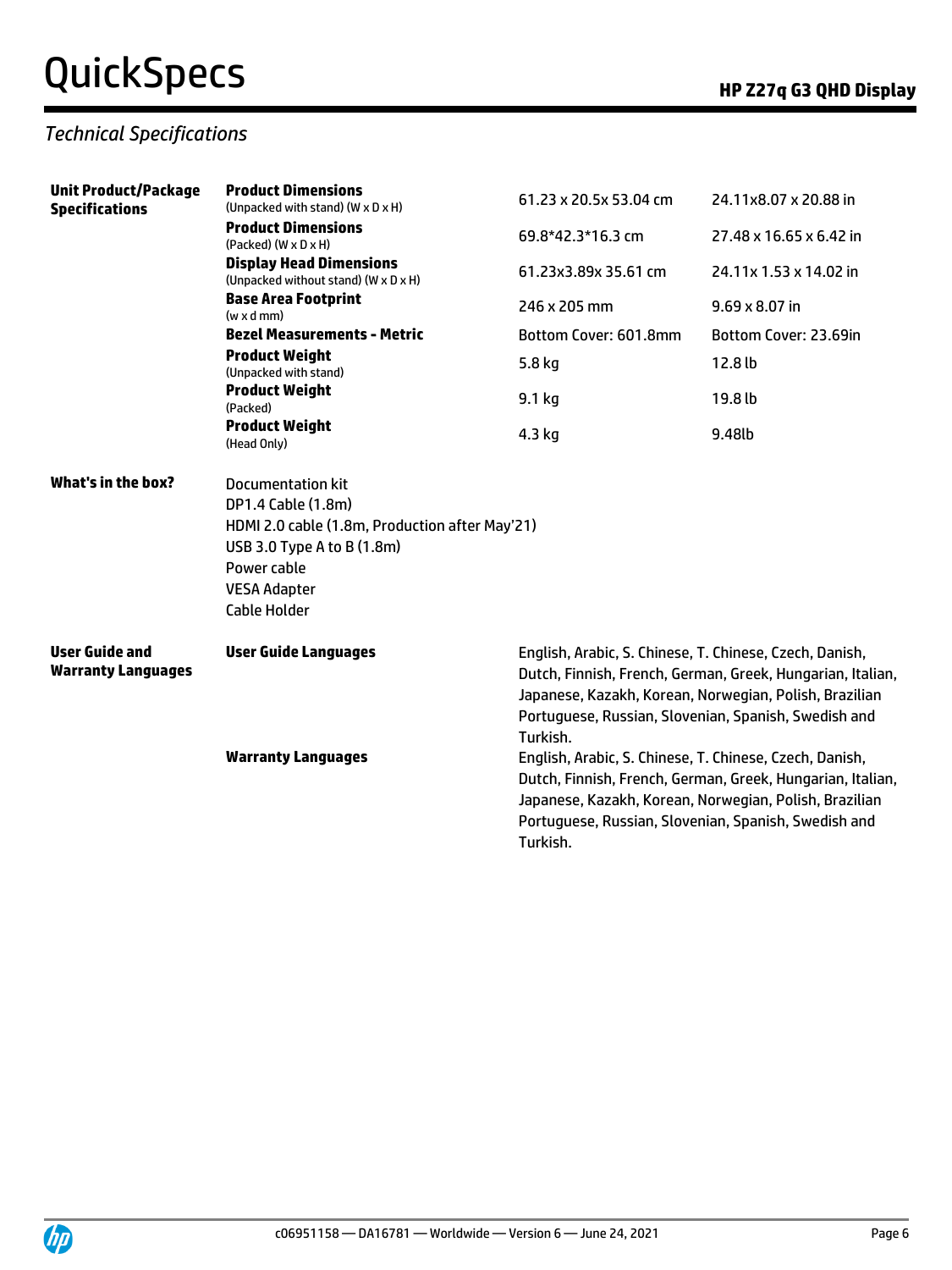## *Technical Specifications*

| <b>Unit Product/Package</b><br><b>Specifications</b> | <b>Product Dimensions</b><br>(Unpacked with stand) (W x D x H)         | 61.23 x 20.5x 53.04 cm | 24.11x8.07 x 20.88 in<br>27.48 x 16.65 x 6.42 in<br>24.11x 1.53 x 14.02 in<br>$9.69 \times 8.07$ in<br>Bottom Cover: 23.69in                                                                                                            |  |  |  |
|------------------------------------------------------|------------------------------------------------------------------------|------------------------|-----------------------------------------------------------------------------------------------------------------------------------------------------------------------------------------------------------------------------------------|--|--|--|
|                                                      | <b>Product Dimensions</b><br>$(Packed)$ $(W \times D \times H)$        | 69.8*42.3*16.3 cm      |                                                                                                                                                                                                                                         |  |  |  |
|                                                      | <b>Display Head Dimensions</b><br>(Unpacked without stand) (W x D x H) | 61.23x3.89x 35.61 cm   |                                                                                                                                                                                                                                         |  |  |  |
|                                                      | <b>Base Area Footprint</b><br>$(w \times d$ mm $)$                     | 246 x 205 mm           |                                                                                                                                                                                                                                         |  |  |  |
|                                                      | <b>Bezel Measurements - Metric</b>                                     | Bottom Cover: 601.8mm  |                                                                                                                                                                                                                                         |  |  |  |
|                                                      | <b>Product Weight</b><br>(Unpacked with stand)                         | 5.8 kg                 | 12.8 <sub>b</sub>                                                                                                                                                                                                                       |  |  |  |
|                                                      | <b>Product Weight</b><br>(Packed)                                      | $9.1$ kg               | 19.8 lb                                                                                                                                                                                                                                 |  |  |  |
|                                                      | <b>Product Weight</b><br>(Head Only)                                   | 4.3 kg                 | 9.48lb                                                                                                                                                                                                                                  |  |  |  |
| What's in the box?                                   | Documentation kit                                                      |                        |                                                                                                                                                                                                                                         |  |  |  |
|                                                      | DP1.4 Cable (1.8m)                                                     |                        |                                                                                                                                                                                                                                         |  |  |  |
|                                                      | HDMI 2.0 cable (1.8m, Production after May'21)                         |                        |                                                                                                                                                                                                                                         |  |  |  |
|                                                      | USB 3.0 Type A to B (1.8m)                                             |                        |                                                                                                                                                                                                                                         |  |  |  |
|                                                      | Power cable                                                            |                        |                                                                                                                                                                                                                                         |  |  |  |
|                                                      | <b>VESA Adapter</b>                                                    |                        |                                                                                                                                                                                                                                         |  |  |  |
|                                                      | Cable Holder                                                           |                        |                                                                                                                                                                                                                                         |  |  |  |
| <b>User Guide and</b><br><b>Warranty Languages</b>   | <b>User Guide Languages</b>                                            | Turkish.               | English, Arabic, S. Chinese, T. Chinese, Czech, Danish,<br>Dutch, Finnish, French, German, Greek, Hungarian, Italian,<br>Japanese, Kazakh, Korean, Norwegian, Polish, Brazilian<br>Portuguese, Russian, Slovenian, Spanish, Swedish and |  |  |  |
|                                                      | <b>Warranty Languages</b>                                              |                        | English, Arabic, S. Chinese, T. Chinese, Czech, Danish,<br>Dutch, Finnish, French, German, Greek, Hungarian, Italian,<br>Japanese, Kazakh, Korean, Norwegian, Polish, Brazilian<br>Portuguese, Russian, Slovenian, Spanish, Swedish and |  |  |  |

Turkish.

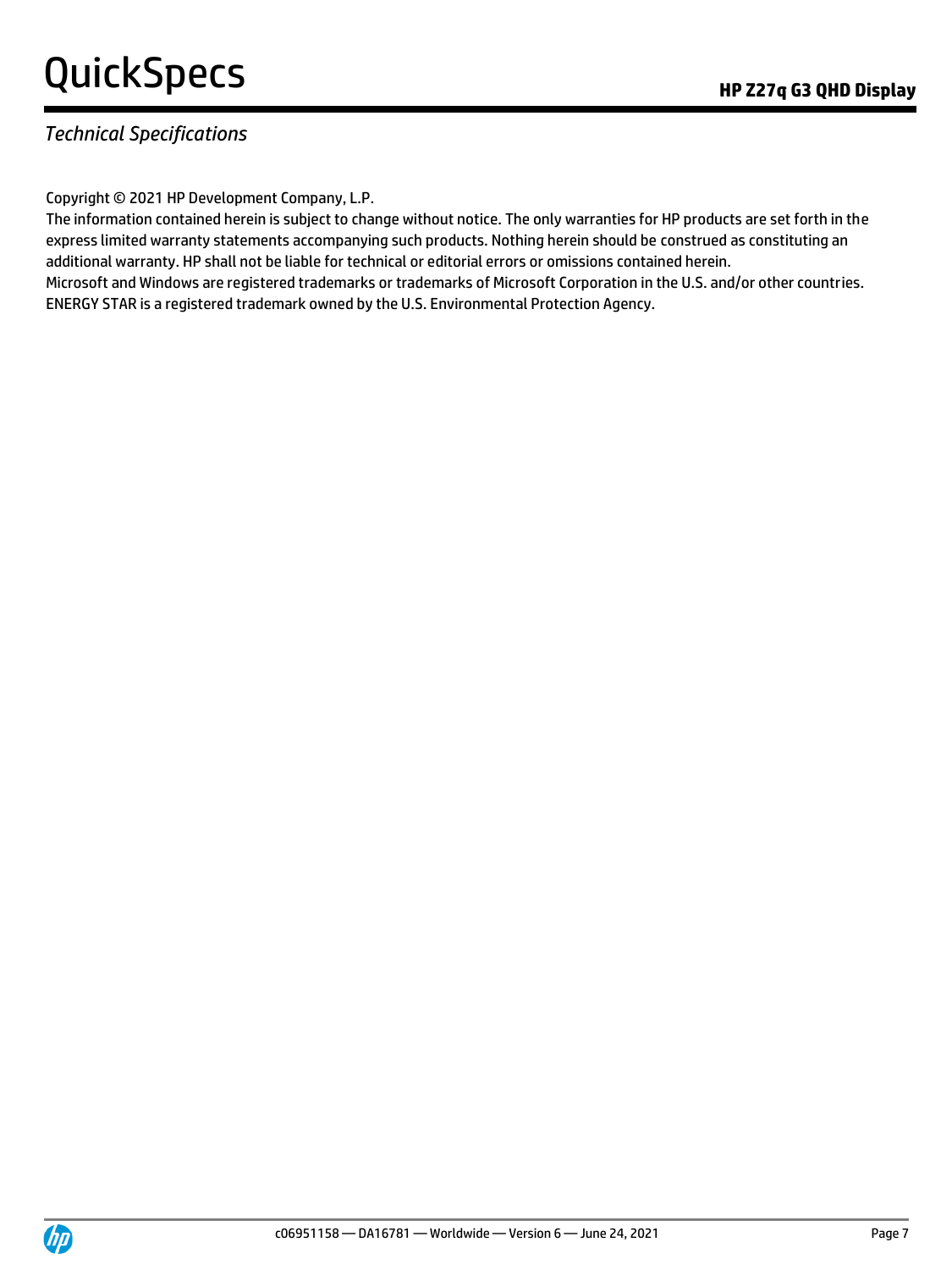### *Technical Specifications*

Copyright © 2021 HP Development Company, L.P.

The information contained herein is subject to change without notice. The only warranties for HP products are set forth in the express limited warranty statements accompanying such products. Nothing herein should be construed as constituting an additional warranty. HP shall not be liable for technical or editorial errors or omissions contained herein. Microsoft and Windows are registered trademarks or trademarks of Microsoft Corporation in the U.S. and/or other countries. ENERGY STAR is a registered trademark owned by the U.S. Environmental Protection Agency.